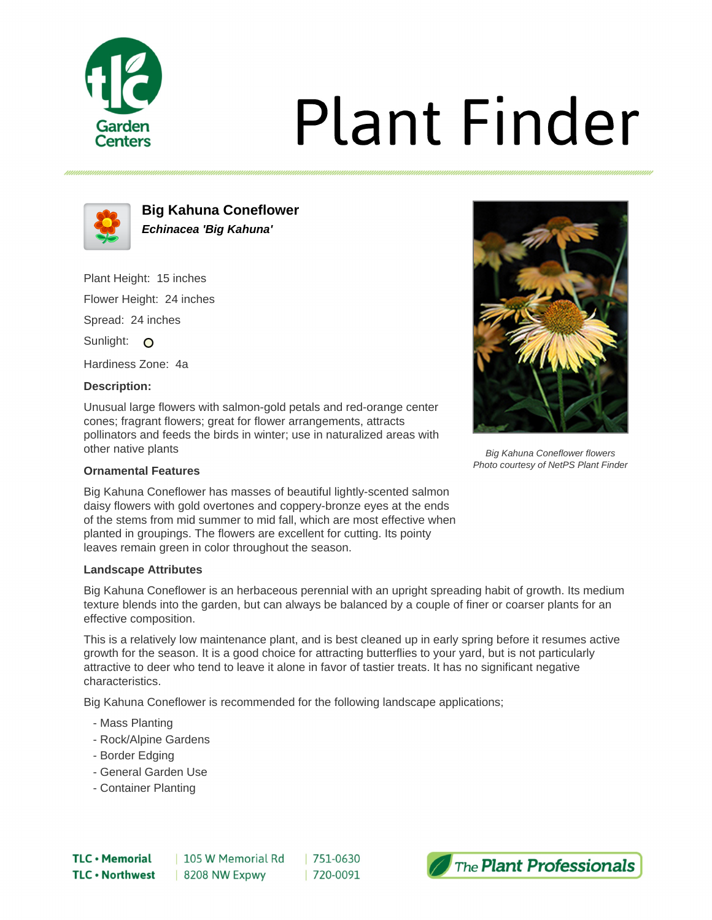

# **Plant Finder**



**Big Kahuna Coneflower Echinacea 'Big Kahuna'**

Plant Height: 15 inches Flower Height: 24 inches Spread: 24 inches Sunlight: O

Hardiness Zone: 4a

## **Description:**

Unusual large flowers with salmon-gold petals and red-orange center cones; fragrant flowers; great for flower arrangements, attracts pollinators and feeds the birds in winter; use in naturalized areas with other native plants

### **Ornamental Features**

Big Kahuna Coneflower has masses of beautiful lightly-scented salmon daisy flowers with gold overtones and coppery-bronze eyes at the ends of the stems from mid summer to mid fall, which are most effective when planted in groupings. The flowers are excellent for cutting. Its pointy leaves remain green in color throughout the season.

#### **Landscape Attributes**

Big Kahuna Coneflower is an herbaceous perennial with an upright spreading habit of growth. Its medium texture blends into the garden, but can always be balanced by a couple of finer or coarser plants for an effective composition.

This is a relatively low maintenance plant, and is best cleaned up in early spring before it resumes active growth for the season. It is a good choice for attracting butterflies to your yard, but is not particularly attractive to deer who tend to leave it alone in favor of tastier treats. It has no significant negative characteristics.

Big Kahuna Coneflower is recommended for the following landscape applications;

- Mass Planting
- Rock/Alpine Gardens
- Border Edging
- General Garden Use
- Container Planting









Big Kahuna Coneflower flowers Photo courtesy of NetPS Plant Finder